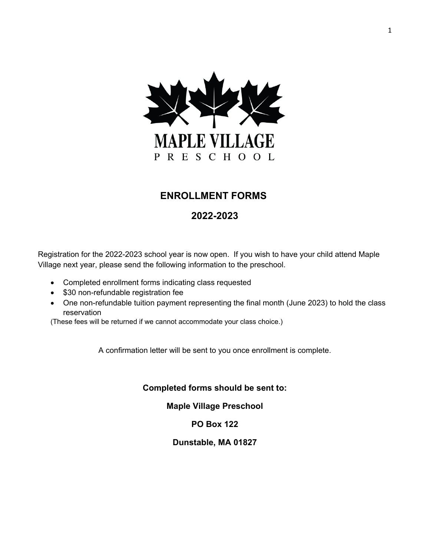

# **ENROLLMENT FORMS**

## **2022-2023**

Registration for the 2022-2023 school year is now open. If you wish to have your child attend Maple Village next year, please send the following information to the preschool.

- Completed enrollment forms indicating class requested
- \$30 non-refundable registration fee
- One non-refundable tuition payment representing the final month (June 2023) to hold the class reservation

(These fees will be returned if we cannot accommodate your class choice.)

A confirmation letter will be sent to you once enrollment is complete.

#### **Completed forms should be sent to:**

**Maple Village Preschool**

### **PO Box 122**

**Dunstable, MA 01827**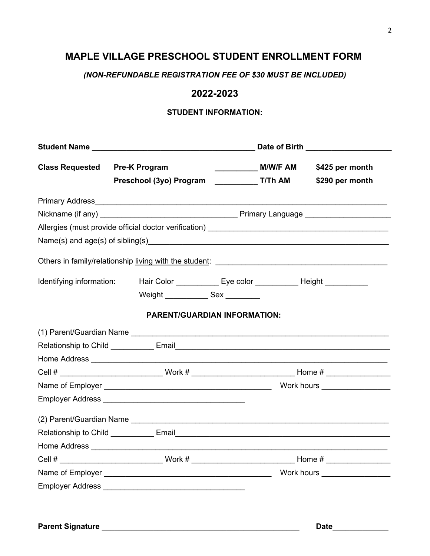# **MAPLE VILLAGE PRESCHOOL STUDENT ENROLLMENT FORM**

*(NON-REFUNDABLE REGISTRATION FEE OF \$30 MUST BE INCLUDED)*

### **2022-2023**

#### **STUDENT INFORMATION:**

|                          |                                                                                                      | Date of Birth ____________________ |
|--------------------------|------------------------------------------------------------------------------------------------------|------------------------------------|
| <b>Class Requested</b>   | <b>Pre-K Program</b>                                                                                 | \$425 per month                    |
|                          |                                                                                                      | \$290 per month                    |
|                          |                                                                                                      |                                    |
|                          |                                                                                                      |                                    |
|                          |                                                                                                      |                                    |
|                          |                                                                                                      |                                    |
|                          |                                                                                                      |                                    |
| Identifying information: | Hair Color ______________ Eye color ______________ Height ____________                               |                                    |
|                          | Weight _______________ Sex _________                                                                 |                                    |
|                          | <b>PARENT/GUARDIAN INFORMATION:</b>                                                                  |                                    |
|                          |                                                                                                      |                                    |
|                          |                                                                                                      |                                    |
|                          |                                                                                                      |                                    |
|                          | Cell # ________________________________Work # __________________________________Home # _____________ |                                    |
|                          |                                                                                                      |                                    |
|                          |                                                                                                      |                                    |
|                          |                                                                                                      |                                    |
|                          |                                                                                                      |                                    |
|                          |                                                                                                      |                                    |
|                          | Cell # _________________________________Work # _________________________________Home # _____________ |                                    |
|                          |                                                                                                      |                                    |
|                          |                                                                                                      |                                    |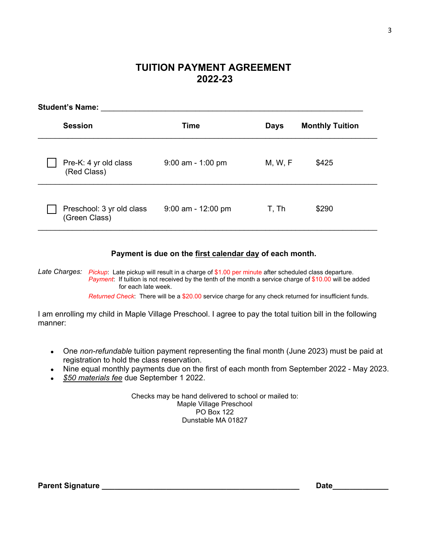## **TUITION PAYMENT AGREEMENT 2022-23**

| <b>Student's Name:</b>                     |                      |             |                        |  |
|--------------------------------------------|----------------------|-------------|------------------------|--|
| <b>Session</b>                             | <b>Time</b>          | <b>Days</b> | <b>Monthly Tuition</b> |  |
| Pre-K: 4 yr old class<br>(Red Class)       | $9:00$ am - 1:00 pm  | M, W, F     | \$425                  |  |
| Preschool: 3 yr old class<br>(Green Class) | $9:00$ am - 12:00 pm | T, Th       | \$290                  |  |

#### **Payment is due on the first calendar day of each month.**

*Late Charges: Pickup*: Late pickup will result in a charge of \$1.00 per minute after scheduled class departure. *Payment*: If tuition is not received by the tenth of the month a service charge of \$10.00 will be added for each late week.

*Returned Check*: There will be a \$20.00 service charge for any check returned for insufficient funds.

I am enrolling my child in Maple Village Preschool. I agree to pay the total tuition bill in the following manner:

- One *non-refundable* tuition payment representing the final month (June 2023) must be paid at registration to hold the class reservation.
- Nine equal monthly payments due on the first of each month from September 2022 May 2023.
- *\$50 materials fee* due September 1 2022.

Checks may be hand delivered to school or mailed to: Maple Village Preschool PO Box 122 Dunstable MA 01827

**Parent Signature \_\_\_\_\_\_\_\_\_\_\_\_\_\_\_\_\_\_\_\_\_\_\_\_\_\_\_\_\_\_\_\_\_\_\_\_\_\_\_\_\_\_\_\_\_\_ Date\_\_\_\_\_\_\_\_\_\_\_\_\_**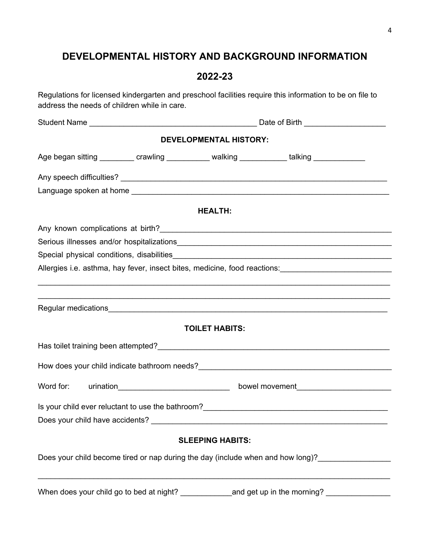# **DEVELOPMENTAL HISTORY AND BACKGROUND INFORMATION**

## **2022-23**

Regulations for licensed kindergarten and preschool facilities require this information to be on file to address the needs of children while in care.

|                                                                                 | <b>DEVELOPMENTAL HISTORY:</b> |                                                                                                                                                               |  |
|---------------------------------------------------------------------------------|-------------------------------|---------------------------------------------------------------------------------------------------------------------------------------------------------------|--|
|                                                                                 |                               | Age began sitting __________ crawling ___________ walking ___________ talking ____________                                                                    |  |
|                                                                                 |                               |                                                                                                                                                               |  |
|                                                                                 |                               |                                                                                                                                                               |  |
|                                                                                 | <b>HEALTH:</b>                |                                                                                                                                                               |  |
|                                                                                 |                               |                                                                                                                                                               |  |
|                                                                                 |                               |                                                                                                                                                               |  |
|                                                                                 |                               |                                                                                                                                                               |  |
|                                                                                 |                               | Allergies i.e. asthma, hay fever, insect bites, medicine, food reactions: [14] [15] Allergies i.e. asthma, hay fever, insect bites, medicine, food reactions: |  |
|                                                                                 |                               |                                                                                                                                                               |  |
|                                                                                 |                               |                                                                                                                                                               |  |
|                                                                                 | <b>TOILET HABITS:</b>         |                                                                                                                                                               |  |
|                                                                                 |                               |                                                                                                                                                               |  |
|                                                                                 |                               |                                                                                                                                                               |  |
| Word for:                                                                       |                               |                                                                                                                                                               |  |
|                                                                                 |                               |                                                                                                                                                               |  |
|                                                                                 |                               |                                                                                                                                                               |  |
|                                                                                 | <b>SLEEPING HABITS:</b>       |                                                                                                                                                               |  |
| Does your child become tired or nap during the day (include when and how long)? |                               |                                                                                                                                                               |  |
|                                                                                 |                               |                                                                                                                                                               |  |
|                                                                                 |                               |                                                                                                                                                               |  |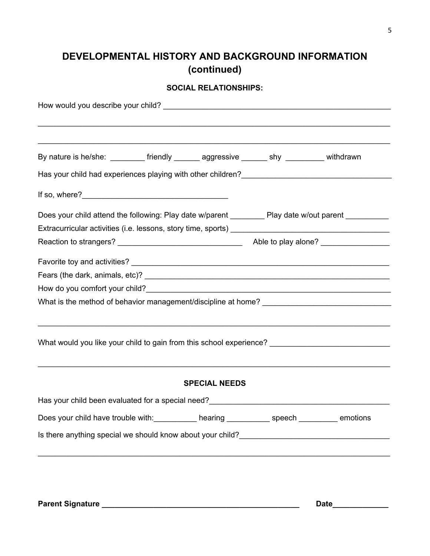# **DEVELOPMENTAL HISTORY AND BACKGROUND INFORMATION (continued)**

#### **SOCIAL RELATIONSHIPS:**

| By nature is he/she: _________ friendly ______ aggressive ______ shy ________ withdrawn                                                                                                                                           |                      |  |
|-----------------------------------------------------------------------------------------------------------------------------------------------------------------------------------------------------------------------------------|----------------------|--|
|                                                                                                                                                                                                                                   |                      |  |
|                                                                                                                                                                                                                                   |                      |  |
| Does your child attend the following: Play date w/parent __________ Play date w/out parent _________                                                                                                                              |                      |  |
|                                                                                                                                                                                                                                   |                      |  |
|                                                                                                                                                                                                                                   |                      |  |
|                                                                                                                                                                                                                                   |                      |  |
|                                                                                                                                                                                                                                   |                      |  |
|                                                                                                                                                                                                                                   |                      |  |
|                                                                                                                                                                                                                                   |                      |  |
| ,我们也不能在这里的人,我们也不能在这里的人,我们也不能在这里的人,我们也不能在这里的人,我们也不能在这里的人,我们也不能在这里的人,我们也不能在这里的人,我们也<br>What would you like your child to gain from this school experience? ________________________________                                         |                      |  |
|                                                                                                                                                                                                                                   | <b>SPECIAL NEEDS</b> |  |
| Has your child been evaluated for a special need?<br>Mas your child been evaluated for a special need?<br>Masseum Masseum Masseum Masseum Masseum Masseum Masseum Masseum Masseum Masseum Masseum Masseum Masseum Masseum Masseum |                      |  |
| Does your child have trouble with: ___________ hearing ___________ speech ________ emotions                                                                                                                                       |                      |  |
|                                                                                                                                                                                                                                   |                      |  |
|                                                                                                                                                                                                                                   |                      |  |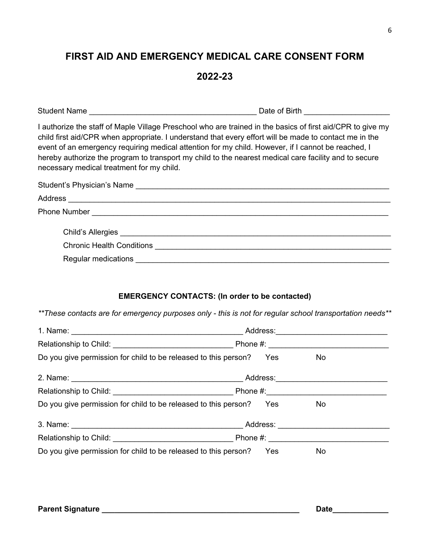# **FIRST AID AND EMERGENCY MEDICAL CARE CONSENT FORM**

### **2022-23**

| <b>Student</b><br>Name<br>Bırtr<br>Date of L |  |
|----------------------------------------------|--|
|----------------------------------------------|--|

I authorize the staff of Maple Village Preschool who are trained in the basics of first aid/CPR to give my child first aid/CPR when appropriate. I understand that every effort will be made to contact me in the event of an emergency requiring medical attention for my child. However, if I cannot be reached, I hereby authorize the program to transport my child to the nearest medical care facility and to secure necessary medical treatment for my child.

| Student's Physician's Name |                                                                                                                  |  |
|----------------------------|------------------------------------------------------------------------------------------------------------------|--|
|                            |                                                                                                                  |  |
|                            |                                                                                                                  |  |
|                            |                                                                                                                  |  |
|                            | Chronic Health Conditions <b>Chronic Health Conditions</b>                                                       |  |
| Regular medications        | and the control of the control of the control of the control of the control of the control of the control of the |  |

#### **EMERGENCY CONTACTS: (In order to be contacted)**

*\*\*These contacts are for emergency purposes only - this is not for regular school transportation needs\*\**

| Do you give permission for child to be released to this person? Yes | No |
|---------------------------------------------------------------------|----|
|                                                                     |    |
|                                                                     |    |
| Do you give permission for child to be released to this person? Yes | No |
|                                                                     |    |
|                                                                     |    |
| Do you give permission for child to be released to this person? Yes | No |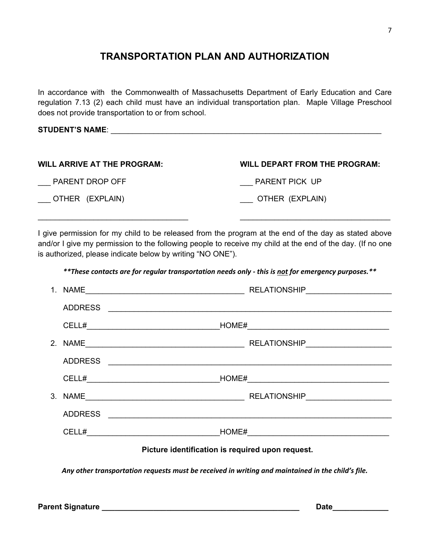# **TRANSPORTATION PLAN AND AUTHORIZATION**

In accordance with the Commonwealth of Massachusetts Department of Early Education and Care regulation 7.13 (2) each child must have an individual transportation plan. Maple Village Preschool does not provide transportation to or from school.

#### **STUDENT'S NAME**: \_\_\_\_\_\_\_\_\_\_\_\_\_\_\_\_\_\_\_\_\_\_\_\_\_\_\_\_\_\_\_\_\_\_\_\_\_\_\_\_\_\_\_\_\_\_\_\_\_\_\_\_\_\_\_\_\_\_\_\_\_\_\_

| <b>WILL ARRIVE AT THE PROGRAM:</b> | <b>WILL DEPART FROM THE PROGRAM:</b> |
|------------------------------------|--------------------------------------|
| PARENT DROP OFF                    | PARENT PICK UP                       |
| ___ OTHER (EXPLAIN)                | ____ OTHER (EXPLAIN)                 |

I give permission for my child to be released from the program at the end of the day as stated above and/or I give my permission to the following people to receive my child at the end of the day. (If no one is authorized, please indicate below by writing "NO ONE").

 $\mathcal{L}_\mathcal{L}$  , and the contribution of the contribution of the contribution of the contribution of the contribution of the contribution of the contribution of the contribution of the contribution of the contribution of

*\*\*These contacts are for regular transportation needs only - this is not for emergency purposes.\*\**

| $1_{\cdot}$ |                | RELATIONSHIP_____________________                                  |
|-------------|----------------|--------------------------------------------------------------------|
|             | <b>ADDRESS</b> |                                                                    |
|             |                |                                                                    |
|             |                |                                                                    |
|             | <b>ADDRESS</b> |                                                                    |
|             |                | CELL# HOME#<br><u> 1989 - Johann Barbara, martxa alemaniar arg</u> |
|             |                |                                                                    |
|             | <b>ADDRESS</b> |                                                                    |
|             |                |                                                                    |
|             |                | Picture identification is required upon request.                   |

*Any other transportation requests must be received in writing and maintained in the child's file.*